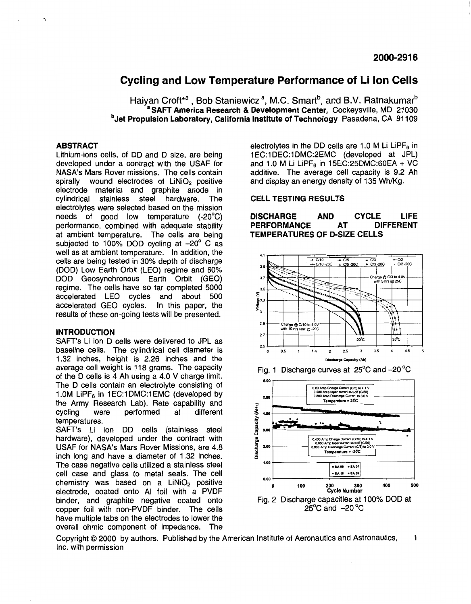# <span id="page-0-0"></span>**Cycling and Low Temperature Performance of Li Ion Cells**

Haiyan Croft<sup>\*a</sup>, Bob Staniewicz<sup>a</sup>, M.C. Smart<sup>b</sup>, and B.V. Ratnakumar<sup>b</sup> **SAFT America Research & Development Center, Cockeysville, MD 21030 b** Jet Propulsion Laboratory, California Institute of Technology Pasadena, CA 91109

## **ABSTRACT**

Lithium-ions cells, of DD and D size, are being developed under a contract with the USAF for NASA's Mars Rover missions. The cells contain spirally wound electrodes of  $LiNiO<sub>2</sub>$  positive electrode material and graphite anode in cylindrical stainless steel hardware. The cylindrical stainless steel hardware. electrolytes were selected based on the mission needs of good low temperature  $(-20^{\circ}C)$ performance, combined with adequate stability at ambient temperature. The cells are being subjected to 100% DOD cycling at  $-20^\circ$  C as well as at ambient temperature. In addition, the cells are being tested in 30% depth of discharge (DOD) Low Earth Orbit (LEO) regime and 60% DOD Geosynchronous Earth Orbit (GEO) regime. The cells have so far completed 5000 accelerated LEO cycles and about 500 accelerated GEO cycles. In this paper, the results of these on-going tests will be presented.

### **INTRODUCTION**

SAFT's Li ion D cells were delivered to JPL as baseline cells. The cylindrical cell diameter is 1.32 inches, height **is** 2.26 inches and the average cell weight is 118 grams. The capacity of the D cells is **4** Ah using a **4.0** V charge limit. The D cells contain an electrolyte consisting of 1.0M LiPF $_6$  in 1EC:1DMC:1EMC (developed by the Army Research Lab). Rate capability and<br>cycling were performed at different cycling temperatures.

SAFT's Li ion DD cells (stainless steel hardware), developed under the contract with USAF for NASA's Mars Rover Missions, are **4.8**  inch long and have a diameter of 1.32 inches. The case negative cells utilized a stainless steel cell case and glass to metal seals. The cell chemistry was based on a  $LinIO<sub>2</sub>$  positive electrode, coated onto AI foil with a PVDF binder, and graphite negative coated onto Fig. 2 Discharge capacities at 100% DOD at conner foil with non-PVDF binder. The cells  $25^{\circ}$ C and -20 °C copper foil with non-PVDF binder. The cells have multiple tabs on the electrodes to lower the overall ohmic component of impedance. The

electrolytes in the DD cells are 1.0 M Li LiPF $_{6}$  in 1 EC:1 DEC:1 DMC:2EMC (developed at JPL) and 1.0 M Li LiPF<sub>6</sub> in 15EC:25DMC:60EA + VC additive. The average cell capacity is 9.2 Ah and display an energy density of 135 Wh/Kg.

#### **CELL TESTING RESULTS**

**DISCHARGE AND CYCLE LIFE PERFORMANCE TEMPERATURES OF D-SIZE CELLS** 







Copyright *0* 2000 by authors. Published by the American Institute of Aeronautics and Astronautics, 1 Inc. with permission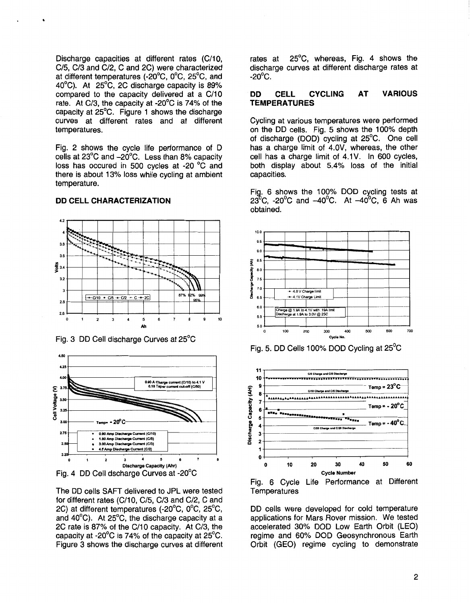Discharge capacities at different rates (C/10, C/5, C/3 and C/2, C and 2C) were characterized at different temperatures (-20°C, 0°C, 25°C, and 40°C). At 25°C, 2C discharge capacity is 89% compared to the capacity delivered at a C/10 rate. At C/3, the capacity at -20 $\degree$ C is 74% of the capacity at 25°C. Figure 1 shows the discharge curves at different rates and at different temperatures.

Fig. 2 shows the cycle life performance of D cells at 23°C and -20°C. Less than 8% capacity loss has occured in 500 cycles at -20 °C and there is about 13% loss while cycling at ambient temperature.

## **DD CELL CHARACTERIZATION**



Fig. 3 DD Cell discharge Curves at 25°C



The DD cells SAFT delivered to JPL were tested for different rates (C/10, C/5, C/3 and C/2, C and 2C) at different temperatures (-20°C, 0°C, 25°C, and  $40^{\circ}$ C). At 25 $^{\circ}$ C, the discharge capacity at a 2C rate is 87% of the C/10 capacity. At C/3, the capacity at -20 $^{\circ}$ C is 74% of the capacity at 25 $^{\circ}$ C. Figure 3 shows the discharge curves at different

rates at 25°C, whereas, Fig. 4 shows the discharge curves at different discharge rates at  $-20^{\circ}$ C.

#### **DD CYCLING CELL AT VARIOUS TEMPERATURES**

Cycling at various temperatures were performed on the DD cells. Fig. 5 shows the 100% depth of discharge (DOD) cycling at 25°C. One cell has a charge limit of 4.0V, whereas, the other cell has a charge limit of 4.1V. In 600 cycles, both display about 5.4% loss of the initial capacities.

Fig. 6 shows the 100% DOD cycling tests at 23<sup>0</sup>C, -20<sup>0</sup>C and -40<sup>0</sup>C. At -40<sup>0</sup>C, 6 Ah was obtained.









DD cells were developed for cold temperature applications for Mars Rover mission. We tested accelerated 30% DOD Low Earth Orbit (LEO) regime and 60% DOD Geosynchronous Earth Orbit (GEO) regime cycling to demonstrate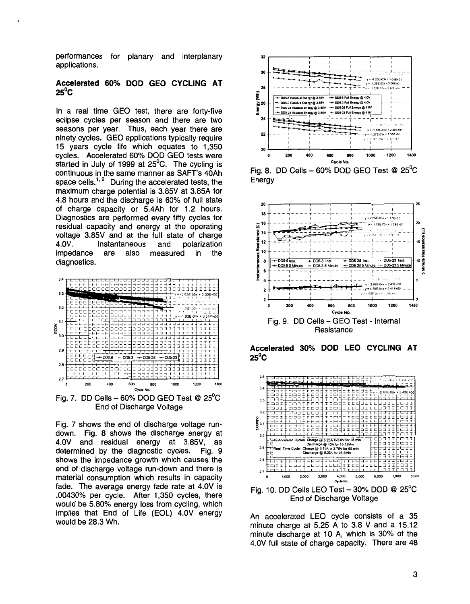performances for planary and interplanary applications.

## **Accelerated** *60%* **DOD GEO CYCLING AT**   $25^{\circ}$ C

In a real time GEO test, there are forty-five eclipse cycles per season and there are two seasons per year. Thus, each year there are ninety cycles. GEO applications typically require **15** years cycle life which equates to 1,350 cycles. Accelerated *60%* DOD GEO tests were started in July of 1999 at  $25^{\circ}$ C. The cycling is continuous in the same manner as SAFT's 40Ah space cells. $1/2$  During the accelerated tests, the maximum charge potential is 3.85V at 3.85A for 4.8 hours and the discharge is 60% of full state of charge capacity or 5.4Ah for 1.2 hours. Diagnostics are performed every fifty cycles for residual capacity and energy at the operating voltage 3.85V and at the full state of charge  $4.0V.$ impedance are also measured in the diagnostics.



Fig. **7.** DD Cells - *60%* DOD GEO Test *Q* 25OC End of Discharge Voltage

Fig. **7** shows the end of discharge voltage rundown. Fig. 8 shows the discharge energy at 4.0V and residual energy at 3.85V, as determined by the diagnostic cycles. Fig. 9 shows the impedance growth which causes the end of discharge voltage run-down and there is material consumption which results in capacity fade. The average energy fade rate at 4.0V is .00430% per cycle. After 1,350 cycles, there would be 5.80% energy **loss** from cycling, which implies that End of Life (EOL) 4.0V energy would be 28.3 Wh.



Fig. 8. DD Cells - *60%* DOD GEO Test *Q* 25OC **Energy** 



**Accelerated** *30%* **DOD LEO CYCLING AT**   $25^{\circ}$ C



End of Discharge Voltage

An accelerated LEO cycle consists of a 35 minute charge at 5.25 A to 3.8 V and a 15.12 minute discharge at 10 A, which is 30% of the 4.0V full state of charge capacity. There are 48